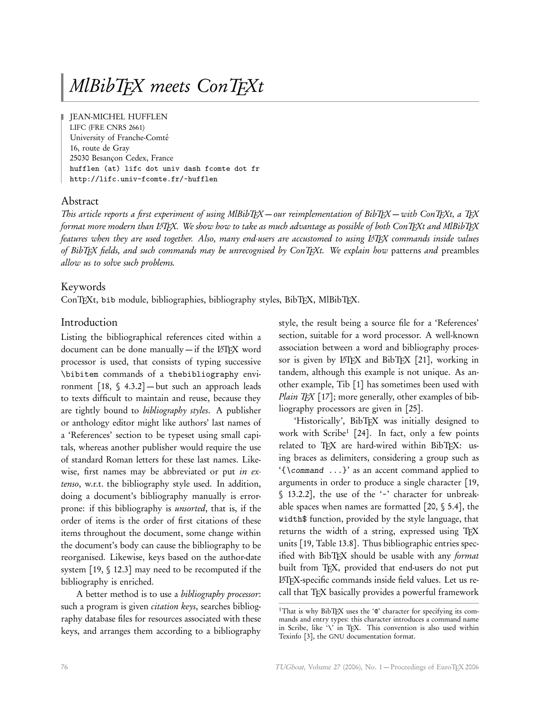# MlBibTEX meets ConTEXt

JEAN-MICHEL HUFFLEN LIFC (FRE CNRS 2661) University of Franche-Comté 16, route de Gray 25030 Besançon Cedex, France hufflen (at) lifc dot univ dash fcomte dot fr http://lifc.univ-fcomte.fr/~hufflen

# Abstract

This article reports a first experiment of using MlBibTEX — our reimplementation of BibTEX — with ConTEXt, a TEX format more modern than L<sup>A</sup>TEX. We show how to take as much advantage as possible of both ConTEXt and MlBibTEX features when they are used together. Also, many end-users are accustomed to using L<sup>ATFX</sup> commands inside values of BibTEX fields, and such commands may be unrecognised by ConTEXt. We explain how patterns and preambles allow us to solve such problems.

#### Keywords

ConTEXt, bib module, bibliographies, bibliography styles, BibTEX, MlBibTEX.

#### Introduction

Listing the bibliographical references cited within a document can be done manually - if the L<sup>AT</sup>EX word processor is used, that consists of typing successive \bibitem commands of a thebibliography environment  $[18, $4.3.2]$  — but such an approach leads to texts difficult to maintain and reuse, because they are tightly bound to *bibliography styles*. A publisher or anthology editor might like authors' last names of a 'References' section to be typeset using small capitals, whereas another publisher would require the use of standard Roman letters for these last names. Likewise, first names may be abbreviated or put in extenso, w.r.t. the bibliography style used. In addition, doing a document's bibliography manually is errorprone: if this bibliography is unsorted, that is, if the order of items is the order of first citations of these items throughout the document, some change within the document's body can cause the bibliography to be reorganised. Likewise, keys based on the author-date system [19, § 12.3] may need to be recomputed if the bibliography is enriched.

A better method is to use a bibliography processor: such a program is given citation keys, searches bibliography database files for resources associated with these keys, and arranges them according to a bibliography

style, the result being a source file for a 'References' section, suitable for a word processor. A well-known association between a word and bibliography processor is given by LATEX and BibTEX [21], working in tandem, although this example is not unique. As another example, Tib [1] has sometimes been used with *Plain T<sub>E</sub>X* [17]; more generally, other examples of bibliography processors are given in [25].

'Historically', BibTEX was initially designed to work with Scribe<sup>1</sup> [24]. In fact, only a few points related to TFX are hard-wired within BibTFX: using braces as delimiters, considering a group such as '{\command ...}' as an accent command applied to arguments in order to produce a single character [19, § 13.2.2], the use of the '~' character for unbreakable spaces when names are formatted [20, § 5.4], the width\$ function, provided by the style language, that returns the width of a string, expressed using TEX units [19, Table 13.8]. Thus bibliographic entries specified with BibTEX should be usable with any format built from TFX, provided that end-users do not put LATEX-specific commands inside field values. Let us recall that TFX basically provides a powerful framework

<sup>&</sup>lt;sup>1</sup>That is why BibTFX uses the '@' character for specifying its commands and entry types: this character introduces a command name in Scribe, like '\' in TEX. This convention is also used within Texinfo [3], the GNU documentation format.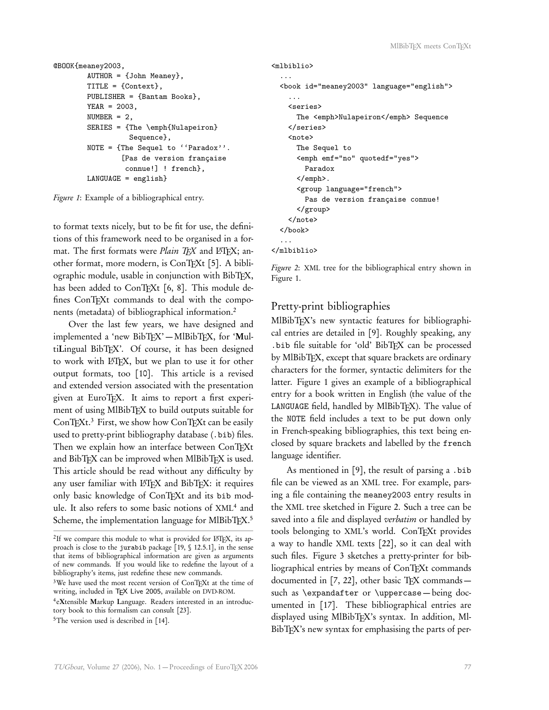```
@BOOK{meaney2003,
        AUTHOR = {John Meaney},
        TITLE = {Context},
        PUBLISHER = {Bantam Books},
        YEAR = 2003,
        NUMBER = 2,
        SERIES = {The \emph{Nulapeiron}
                  Sequence},
        NOTE = {The Sequel to ''Paradox''.
                [Pas de version française
                 connue!] ! french},
        LANGUAGE = english}
```
Figure 1: Example of a bibliographical entry.

to format texts nicely, but to be fit for use, the definitions of this framework need to be organised in a format. The first formats were *Plain TFX* and  $\angle$  ETFX; another format, more modern, is ConTFXt [5]. A bibliographic module, usable in conjunction with BibTFX, has been added to ConTFXt [6, 8]. This module defines ConTEXt commands to deal with the components (metadata) of bibliographical information.<sup>2</sup>

Over the last few years, we have designed and implemented a 'new BibTFX' - MlBibTFX, for 'MultiLingual BibTEX'. Of course, it has been designed to work with LATEX, but we plan to use it for other output formats, too [10]. This article is a revised and extended version associated with the presentation given at EuroTFX. It aims to report a first experiment of using MlBibTFX to build outputs suitable for  $ConTeXt<sup>3</sup>$  First, we show how ConTFXt can be easily used to pretty-print bibliography database (.bib) files. Then we explain how an interface between ConTFXt and BibTFX can be improved when MlBibTFX is used. This article should be read without any difficulty by any user familiar with LATEX and BibTEX: it requires only basic knowledge of ConTEXt and its bib module. It also refers to some basic notions of XML<sup>4</sup> and Scheme, the implementation language for MlBibT<sub>E</sub>X.<sup>5</sup>

```
4
eXtensible Markup Language. Readers interested in an introduc-
tory book to this formalism can consult [23].
```

```
<sup>5</sup>The version used is described in [14].
```

```
<mlbiblio>
  ...
  <book id="meaney2003" language="english">
    ...
    <series>
      The <emph>Nulapeiron</emph> Sequence
    </series>
    <note>
      The Sequel to
      <emph emf="no" quotedf="yes">
        Paradox
      </emph>.
      <group language="french">
        Pas de version française connue!
      </group>
    </note>
  </book>
  ...
</mlbiblio>
```
Figure 2: XML tree for the bibliographical entry shown in Figure 1.

# Pretty-print bibliographies

MlBibTEX's new syntactic features for bibliographical entries are detailed in [9]. Roughly speaking, any .bib file suitable for 'old' BibTEX can be processed by MlBibTFX, except that square brackets are ordinary characters for the former, syntactic delimiters for the latter. Figure 1 gives an example of a bibliographical entry for a book written in English (the value of the LANGUAGE field, handled by MlBibTFX). The value of the NOTE field includes a text to be put down only in French-speaking bibliographies, this text being enclosed by square brackets and labelled by the french language identifier.

As mentioned in [9], the result of parsing a .bib file can be viewed as an XML tree. For example, parsing a file containing the meaney2003 entry results in the XML tree sketched in Figure 2. Such a tree can be saved into a file and displayed verbatim or handled by tools belonging to XML's world. ConTEXt provides a way to handle XML texts [22], so it can deal with such files. Figure 3 sketches a pretty-printer for bibliographical entries by means of ConTFXt commands documented in  $[7, 22]$ , other basic TEX commands such as \expandafter or \uppercase — being documented in [17]. These bibliographical entries are displayed using MlBibTFX's syntax. In addition, Ml-BibT<sub>F</sub>X's new syntax for emphasising the parts of per-

<sup>&</sup>lt;sup>2</sup>If we compare this module to what is provided for LATEX, its approach is close to the jurabib package [19, § 12.5.1], in the sense that items of bibliographical information are given as arguments of new commands. If you would like to redefine the layout of a bibliography's items, just redefine these new commands.

<sup>&</sup>lt;sup>3</sup>We have used the most recent version of ConTEXt at the time of writing, included in TEX Live 2005, available on DVD-ROM.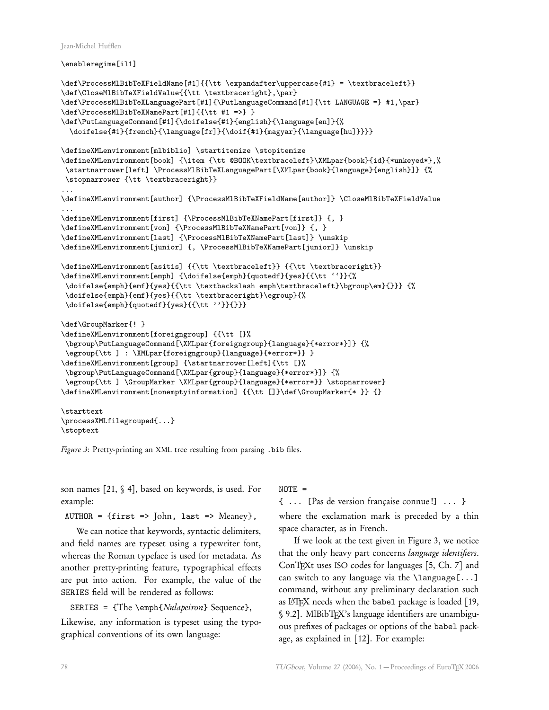Jean-Michel Hufflen

\enableregime[il1]

```
\label{thm:main} $$\def\ProcessMIBiDFeXFieldName[#1]{\t \expandafter\nuppercase{#1} = \textbracket*1}$$\def\CloseMlBibTeXFieldValue{{\tt \textbraceright},\par}
\def\ProcessMlBibTeXLanguagePart[#1]{\PutLanguageCommand[#1]{\tt LANGUAGE =} #1,\par}
\def\ProcessMlBibTeXNamePart[#1]{{\tt #1 =>} }
\def\PutLanguageCommand[#1]{\doifelse{#1}{english}{\language[en]}{%
  \doifelse{#1}{french}{\language[fr]}{\doif{#1}{magyar}{\language[hu]}}}}
\defineXMLenvironment[mlbiblio] \startitemize \stopitemize
\defineXMLenvironment[book] {\item {\tt @BOOK\textbraceleft}\XMLpar{book}{id}{*unkeyed*},%
\startnarrower[left] \ProcessMlBibTeXLanguagePart[\XMLpar{book}{language}{english}]} {%
\stopnarrower {\tt \textbraceright}}
...
\defineXMLenvironment[author] {\ProcessMlBibTeXFieldName[author]} \CloseMlBibTeXFieldValue
...
\defineXMLenvironment[first] {\ProcessMlBibTeXNamePart[first]} {, }
\defineXMLenvironment[von] {\ProcessMlBibTeXNamePart[von]} {, }
\defineXMLenvironment[last] {\ProcessMlBibTeXNamePart[last]} \unskip
\defineXMLenvironment[junior] {, \ProcessMlBibTeXNamePart[junior]} \unskip
\defineXMLenvironment[asitis] {{\tt \textbraceleft}} {{\tt \textbraceright}}
\defineXMLenvironment[emph] {\doifelse{emph}{quotedf}{yes}{{\tt ''}}{%
\doifelse{emph}{emf}{yes}{{\tt \textbackslash emph\textbraceleft}\bgroup\em}{}}} {%
\doifelse{emph}{emf}{yes}{{\tt \textbraceright}\egroup}{%
\doifelse{emph}{quotedf}{yes}{{\tt ''}}{}}}
\def\GroupMarker{! }
\defineXMLenvironment[foreigngroup] {{\tt [}%
\bgroup\PutLanguageCommand[\XMLpar{foreigngroup}{language}{*error*}]} {%
\egroup{\tt ] : \XMLpar{foreigngroup}{language}{*error*}} }
\defineXMLenvironment[group] {\startnarrower[left]{\tt [}%
\bgroup\PutLanguageCommand[\XMLpar{group}{language}{*error*}]} {%
\egroup{\tt ] \GroupMarker \XMLpar{group}{language}{*error*}} \stopnarrower}
\defineXMLenvironment[nonemptyinformation] {{\tt []}\def\GroupMarker{* }} {}
\starttext
```
\processXMLfilegrouped{...} \stoptext

Figure 3: Pretty-printing an XML tree resulting from parsing .bib files.

son names [21, § 4], based on keywords, is used. For example:

 $AUTHOR = {first \Rightarrow John, last \Rightarrow Meaney},$ 

We can notice that keywords, syntactic delimiters, and field names are typeset using a typewriter font, whereas the Roman typeface is used for metadata. As another pretty-printing feature, typographical effects are put into action. For example, the value of the SERIES field will be rendered as follows:

SERIES = {The \emph{Nulapeiron} Sequence},

Likewise, any information is typeset using the typographical conventions of its own language:

 $NOTE =$ 

{ ... [Pas de version française connue !] ... } where the exclamation mark is preceded by a thin space character, as in French.

If we look at the text given in Figure 3, we notice that the only heavy part concerns language identifiers. ConTEXt uses ISO codes for languages [5, Ch. 7] and can switch to any language via the  $\langle$ language[...] command, without any preliminary declaration such as L'TEX needs when the babel package is loaded [19, § 9.2]. MlBibTEX's language identifiers are unambiguous prefixes of packages or options of the babel package, as explained in [12]. For example: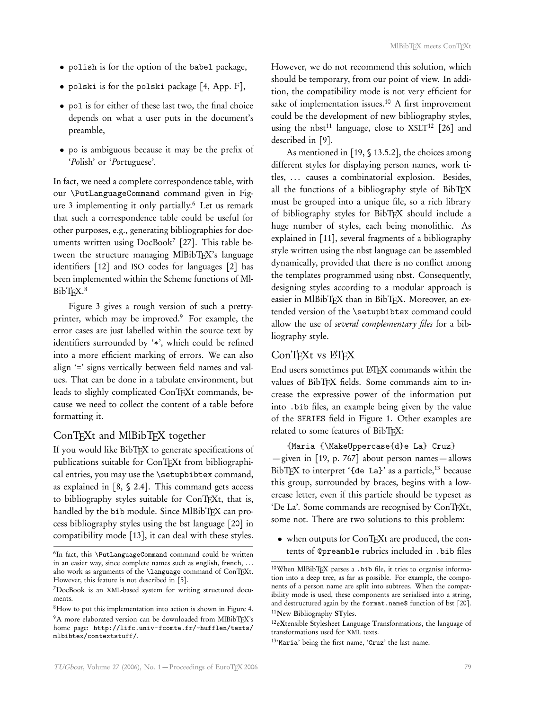- polish is for the option of the babel package,
- polski is for the polski package [4, App. F],
- pol is for either of these last two, the final choice depends on what a user puts in the document's preamble,
- po is ambiguous because it may be the prefix of 'Polish' or 'Portuguese'.

In fact, we need a complete correspondence table, with our \PutLanguageCommand command given in Figure 3 implementing it only partially.<sup>6</sup> Let us remark that such a correspondence table could be useful for other purposes, e.g., generating bibliographies for documents written using DocBook<sup>7</sup> [27]. This table between the structure managing MlBibTFX's language identifiers [12] and ISO codes for languages [2] has been implemented within the Scheme functions of Ml-BibT<sub>F</sub>X.<sup>8</sup>

Figure 3 gives a rough version of such a prettyprinter, which may be improved.<sup>9</sup> For example, the error cases are just labelled within the source text by identifiers surrounded by '\*', which could be refined into a more efficient marking of errors. We can also align '=' signs vertically between field names and values. That can be done in a tabulate environment, but leads to slighly complicated ConTEXt commands, because we need to collect the content of a table before formatting it.

## ConTEXt and MlBibTEX together

If you would like BibTEX to generate specifications of publications suitable for ConTEXt from bibliographical entries, you may use the \setupbibtex command, as explained in  $[8, § 2.4]$ . This command gets access to bibliography styles suitable for ConTEXt, that is, handled by the bib module. Since MlBibTEX can process bibliography styles using the bst language [20] in compatibility mode [13], it can deal with these styles. However, we do not recommend this solution, which should be temporary, from our point of view. In addition, the compatibility mode is not very efficient for sake of implementation issues.<sup>10</sup> A first improvement could be the development of new bibliography styles, using the nbst<sup>11</sup> language, close to  $XSLT<sup>12</sup>$  [26] and described in [9].

As mentioned in [19, § 13.5.2], the choices among different styles for displaying person names, work titles, ... causes a combinatorial explosion. Besides, all the functions of a bibliography style of BibTEX must be grouped into a unique file, so a rich library of bibliography styles for BibTEX should include a huge number of styles, each being monolithic. As explained in [11], several fragments of a bibliography style written using the nbst language can be assembled dynamically, provided that there is no conflict among the templates programmed using nbst. Consequently, designing styles according to a modular approach is easier in MlBibTEX than in BibTEX. Moreover, an extended version of the \setupbibtex command could allow the use of several complementary files for a bibliography style.

#### ConTFXt vs LTFX

End users sometimes put LATEX commands within the values of BibTFX fields. Some commands aim to increase the expressive power of the information put into .bib files, an example being given by the value of the SERIES field in Figure 1. Other examples are related to some features of BibTFX:

{Maria {\MakeUppercase{d}e La} Cruz} — given in [19, p. 767] about person names — allows BibT<sub>EX</sub> to interpret '{de La}' as a particle,<sup>13</sup> because this group, surrounded by braces, begins with a lowercase letter, even if this particle should be typeset as 'De La'. Some commands are recognised by ConTEXt, some not. There are two solutions to this problem:

• when outputs for ConTEXt are produced, the contents of @preamble rubrics included in .bib files

<sup>6</sup> In fact, this \PutLanguageCommand command could be written in an easier way, since complete names such as english, french, . . . also work as arguments of the \language command of ConTEXt. However, this feature is not described in [5].

<sup>7</sup>DocBook is an XML-based system for writing structured documents.

<sup>8</sup>How to put this implementation into action is shown in Figure 4. <sup>9</sup>A more elaborated version can be downloaded from MlBibTFX's home page: http://lifc.univ-fcomte.fr/~hufflen/texts/ mlbibtex/contextstuff/.

<sup>10</sup>When MlBibTEX parses a .bib file, it tries to organise information into a deep tree, as far as possible. For example, the components of a person name are split into subtrees. When the compatibility mode is used, these components are serialised into a string, and destructured again by the format.name\$ function of bst [20]. <sup>11</sup>New Bibliography STyles.

<sup>12</sup>eXtensible Stylesheet Language Transformations, the language of transformations used for XML texts.

<sup>13 &#</sup>x27;Maria' being the first name, 'Cruz' the last name.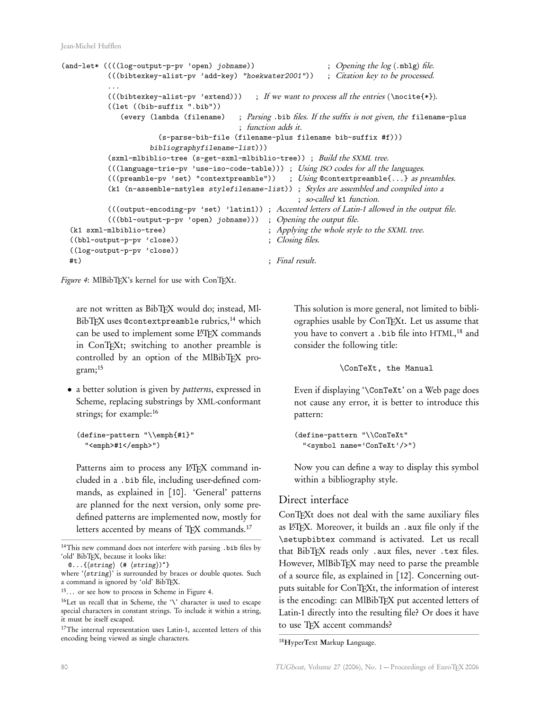```
(and-let* ((((log-output-p-pv 'open) jobname)) ; Opening the log (.mblg) file.
           (((bibtexkey-alist-pv 'add-key) "hoekwater2001")) ; Citation key to be processed.
           ...<br>(((bibtexkey-alist-pv 'extend)))
                                              ; If we want to process all the entries (\in {*}).
           ((let ((bib-suffix ".bib"))
              (every (lambda (filename) ; Parsing .bib files. If the suffix is not given, the filename-plus
                                          ; function adds it.
                       (s-parse-bib-file (filename-plus filename bib-suffix #f)))
                     bibliographyfilename-list)))
           (sxml-mlbiblio-tree (s-get-sxml-mlbiblio-tree)) ; Build the SXML tree.
           (((language-trie-pv 'use-iso-code-table))) ; Using ISO codes for all the languages.
           ((\text{preamble-pv 'set 'contextpreamble")) ; Using \text{@contextpreamble}\{... \} as preambles.
           (k1 (n-assemble-nstyles stylefilename-list)) ; Styles are assembled and compiled into a
                                                        ; so-called k1 function.
           (((output-encoding-pv 'set) 'latin1)) ; Accented letters of Latin-1 allowed in the output file.
           (((bbl-output-p-pv 'open) jobname))) ; Opening the output file.
 (k1 sxml-mlbiblio-tree) ; Applying the whole style to the SXML tree.
 ((bbl-output-p-pv 'close)) ; Closing files.
 ((log-output-p-pv 'close))
 #t) ; Final result.
```
Figure 4: MlBibTFX's kernel for use with ConTFXt.

are not written as BibTEX would do; instead, Ml-BibTFX uses @contextpreamble rubrics,<sup>14</sup> which can be used to implement some L<sup>AT</sup>FX commands in ConTEXt; switching to another preamble is controlled by an option of the MlBibTFX program;<sup>15</sup>

• a better solution is given by patterns, expressed in Scheme, replacing substrings by XML-conformant strings; for example:<sup>16</sup>

```
(define-pattern "\\emph{#1}"
 "<emph>#1</emph>")
```
Patterns aim to process any L'TEX command included in a .bib file, including user-defined commands, as explained in [10]. 'General' patterns are planned for the next version, only some predefined patterns are implemented now, mostly for letters accented by means of TFX commands.<sup>17</sup>

 $\mathbb{Q} \ldots \{ \langle \text{string} \rangle \; (\# \; \langle \text{string} \rangle)^* \}$ 

This solution is more general, not limited to bibliographies usable by ConTEXt. Let us assume that you have to convert a .bib file into HTML, <sup>18</sup> and consider the following title:

\ConTeXt, the Manual

Even if displaying '\ConTeXt' on a Web page does not cause any error, it is better to introduce this pattern:

```
(define-pattern "\\ConTeXt"
  "<symbol name='ConTeXt'/>")
```
Now you can define a way to display this symbol within a bibliography style.

## Direct interface

ConTEXt does not deal with the same auxiliary files as LATEX. Moreover, it builds an .aux file only if the \setupbibtex command is activated. Let us recall that BibTEX reads only .aux files, never .tex files. However, MlBibTEX may need to parse the preamble of a source file, as explained in [12]. Concerning outputs suitable for ConTEXt, the information of interest is the encoding: can MlBibTFX put accented letters of Latin-1 directly into the resulting file? Or does it have to use TFX accent commands?

<sup>14</sup>This new command does not interfere with parsing .bib files by 'old' BibTFX, because it looks like:

where '(string)' is surrounded by braces or double quotes. Such a command is ignored by 'old' BibTEX.

<sup>15</sup>. . . or see how to process in Scheme in Figure 4.

<sup>16</sup>Let us recall that in Scheme, the '\' character is used to escape special characters in constant strings. To include it within a string, it must be itself escaped.

<sup>&</sup>lt;sup>17</sup>The internal representation uses Latin-1, accented letters of this encoding being viewed as single characters.

<sup>18</sup>HyperText Markup Language.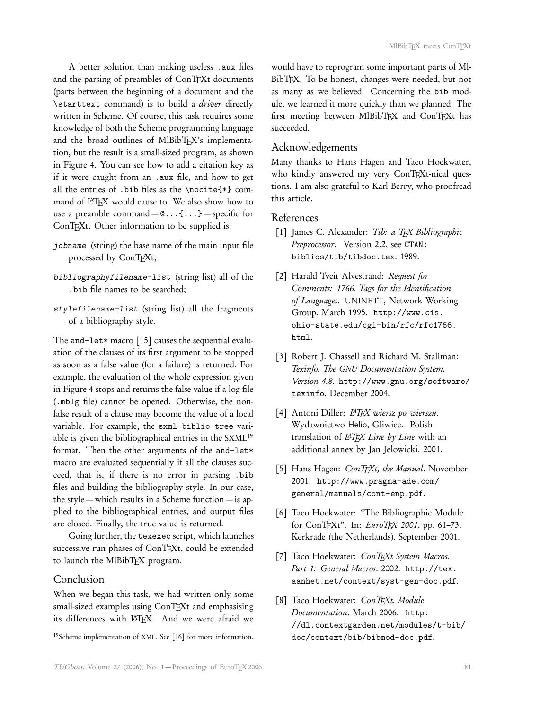A better solution than making useless .aux files and the parsing of preambles of ConTEXt documents (parts between the beginning of a document and the \starttext command) is to build a driver directly written in Scheme. Of course, this task requires some knowledge of both the Scheme programming language and the broad outlines of MlBibTFX's implementation, but the result is a small-sized program, as shown in Figure 4. You can see how to add a citation key as if it were caught from an .aux file, and how to get all the entries of .bib files as the \nocite{\*} command of LHEX would cause to. We also show how to use a preamble command  $\mathbb{C}$ ...{...} – specific for ConTEXt. Other information to be supplied is:

- jobname (string) the base name of the main input file processed by ConTEXt;
- bibliographyfilename-list (string list) all of the .bib file names to be searched;
- stylefilename-list (string list) all the fragments of a bibliography style.

The and-let\* macro  $[15]$  causes the sequential evaluation of the clauses of its first argument to be stopped as soon as a false value (for a failure) is returned. For example, the evaluation of the whole expression given in Figure 4 stops and returns the false value if a log file (.mblg file) cannot be opened. Otherwise, the nonfalse result of a clause may become the value of a local variable. For example, the sxml-biblio-tree variable is given the bibliographical entries in the SXML<sup>19</sup> format. Then the other arguments of the and-let\* macro are evaluated sequentially if all the clauses succeed, that is, if there is no error in parsing .bib files and building the bibliography style. In our case, the style — which results in a Scheme function — is applied to the bibliographical entries, and output files are closed. Finally, the true value is returned.

Going further, the texexec script, which launches successive run phases of ConTEXt, could be extended to launch the MlBibTFX program.

#### Conclusion

When we began this task, we had written only some small-sized examples using ConTEXt and emphasising its differences with LATEX. And we were afraid we would have to reprogram some important parts of Ml-BibTEX. To be honest, changes were needed, but not as many as we believed. Concerning the bib module, we learned it more quickly than we planned. The first meeting between MlBibTEX and ConTEXt has succeeded.

## Acknowledgements

Many thanks to Hans Hagen and Taco Hoekwater, who kindly answered my very ConTFXt-nical questions. I am also grateful to Karl Berry, who proofread this article.

#### References

- [1] James C. Alexander: Tib: a TEX Bibliographic Preprocessor. Version 2.2, see CTAN: biblios/tib/tibdoc.tex. 1989.
- [2] Harald Tveit Alvestrand: Request for Comments: 1766. Tags for the Identification of Languages. UNINETT, Network Working Group. March 1995. http://www.cis. ohio-state.edu/cgi-bin/rfc/rfc1766. html.
- [3] Robert J. Chassell and Richard M. Stallman: Texinfo. The GNU Documentation System. Version 4.8. http://www.gnu.org/software/ texinfo. December 2004.
- [4] Antoni Diller:  $LATFX$  wiersz po wierszu. Wydawnictwo Helio, Gliwice. Polish translation of L<sup>AT</sup>EX Line by Line with an additional annex by Jan Jelowicki. 2001.
- [5] Hans Hagen: ConTEXt, the Manual. November 2001. http://www.pragma-ade.com/ general/manuals/cont-enp.pdf.
- [6] Taco Hoekwater: "The Bibliographic Module for ConTEXt". In:  $EuroTFX 2001$ , pp. 61-73. Kerkrade (the Netherlands). September 2001.
- [7] Taco Hoekwater: ConTFXt System Macros. Part 1: General Macros. 2002. http://tex. aanhet.net/context/syst-gen-doc.pdf.
- [8] Taco Hoekwater: ConTFXt. Module Documentation. March 2006. http: //dl.contextgarden.net/modules/t-bib/ doc/context/bib/bibmod-doc.pdf.

<sup>19</sup>Scheme implementation of XML. See [16] for more information.